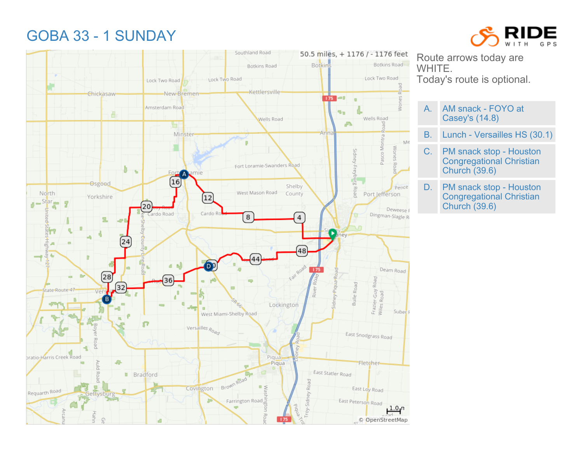## GOBA 33 - 1 SUNDAY





Route arrows today are WHITE. Today's route is optional.

- A. AM snack FOYO at Casey's (14.8)
- B. Lunch Versailles HS (30.1)
- C. PM snack stop Houston Congregational Christian Church (39.6)
- D. PM snack stop Houston Congregational Christian Church (39.6)